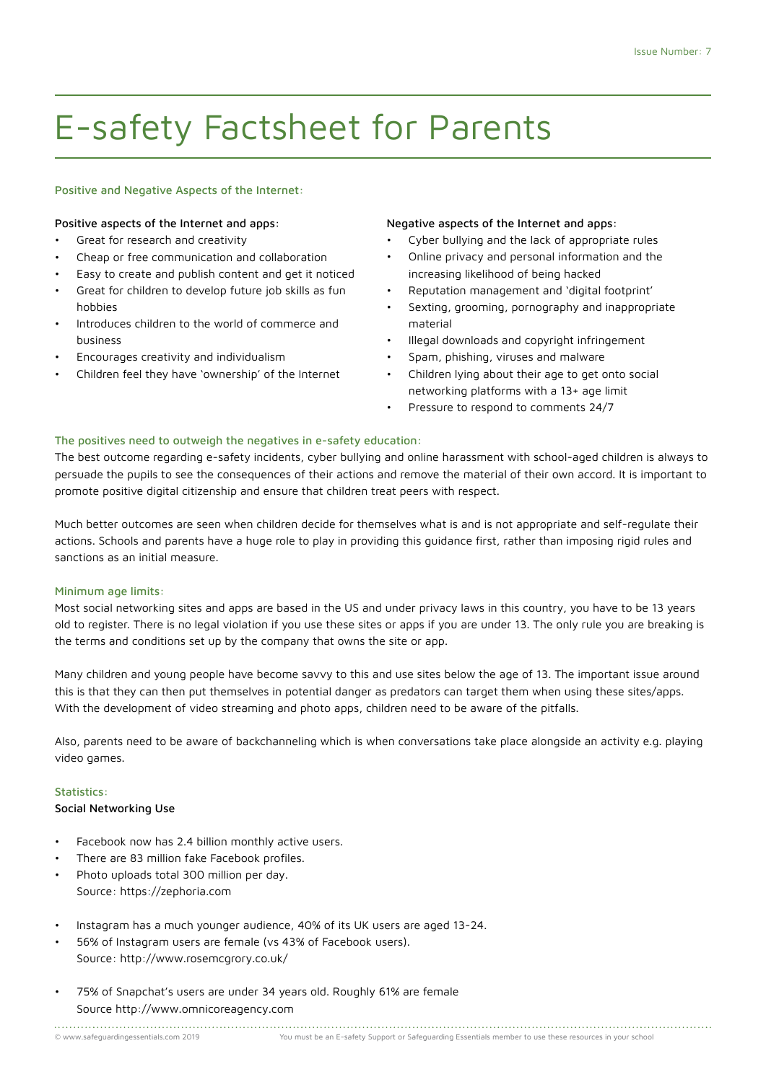# E-safety Factsheet for Parents

### Positive and Negative Aspects of the Internet:

### Positive aspects of the Internet and apps:

- Great for research and creativity
- Cheap or free communication and collaboration
- Easy to create and publish content and get it noticed
- Great for children to develop future job skills as fun hobbies
- Introduces children to the world of commerce and business
- Encourages creativity and individualism
- Children feel they have 'ownership' of the Internet

### Negative aspects of the Internet and apps:

- Cyber bullying and the lack of appropriate rules
- Online privacy and personal information and the increasing likelihood of being hacked
- Reputation management and 'digital footprint'
- Sexting, grooming, pornography and inappropriate material
- Illegal downloads and copyright infringement
- Spam, phishing, viruses and malware
- Children lying about their age to get onto social networking platforms with a 13+ age limit
- Pressure to respond to comments 24/7

# The positives need to outweigh the negatives in e-safety education:

The best outcome regarding e-safety incidents, cyber bullying and online harassment with school-aged children is always to persuade the pupils to see the consequences of their actions and remove the material of their own accord. It is important to promote positive digital citizenship and ensure that children treat peers with respect.

Much better outcomes are seen when children decide for themselves what is and is not appropriate and self-regulate their actions. Schools and parents have a huge role to play in providing this guidance first, rather than imposing rigid rules and sanctions as an initial measure.

### Minimum age limits:

Most social networking sites and apps are based in the US and under privacy laws in this country, you have to be 13 years old to register. There is no legal violation if you use these sites or apps if you are under 13. The only rule you are breaking is the terms and conditions set up by the company that owns the site or app.

Many children and young people have become savvy to this and use sites below the age of 13. The important issue around this is that they can then put themselves in potential danger as predators can target them when using these sites/apps. With the development of video streaming and photo apps, children need to be aware of the pitfalls.

Also, parents need to be aware of backchanneling which is when conversations take place alongside an activity e.g. playing video games.

### Statistics:

### Social Networking Use

- Facebook now has 2.4 billion monthly active users.
- There are 83 million fake Facebook profiles.
- Photo uploads total 300 million per day. Source: https://zephoria.com
- Instagram has a much younger audience, 40% of its UK users are aged 13-24.
- 56% of Instagram users are female (vs 43% of Facebook users). Source: http://www.rosemcgrory.co.uk/
- 75% of Snapchat's users are under 34 years old. Roughly 61% are female Source http://www.omnicoreagency.com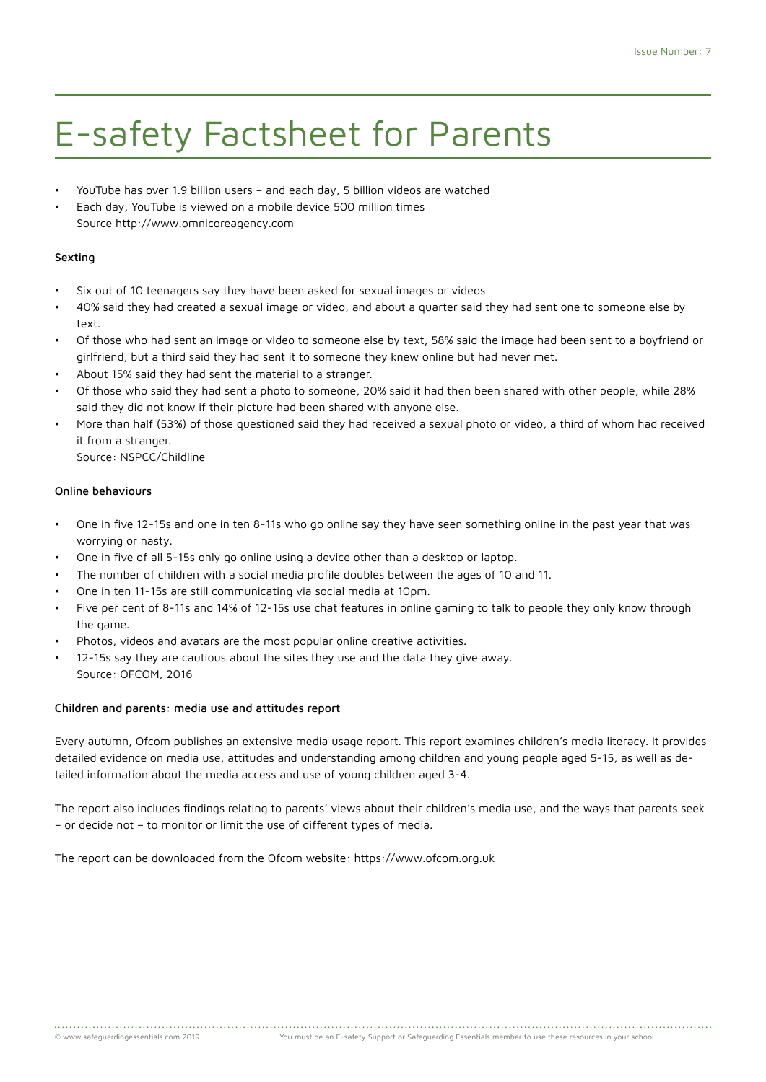# E-safety Factsheet for Parents

- YouTube has over 1.9 billion users and each day, 5 billion videos are watched
- Each day, YouTube is viewed on a mobile device 500 million times Source http://www.omnicoreagency.com

# Sexting

- Six out of 10 teenagers say they have been asked for sexual images or videos
- 40% said they had created a sexual image or video, and about a quarter said they had sent one to someone else by text.
- Of those who had sent an image or video to someone else by text, 58% said the image had been sent to a boyfriend or girlfriend, but a third said they had sent it to someone they knew online but had never met.
- About 15% said they had sent the material to a stranger.
- Of those who said they had sent a photo to someone, 20% said it had then been shared with other people, while 28% said they did not know if their picture had been shared with anyone else.
- More than half (53%) of those questioned said they had received a sexual photo or video, a third of whom had received it from a stranger.

Source: NSPCC/Childline

## Online behaviours

- One in five 12-15s and one in ten 8-11s who go online say they have seen something online in the past year that was worrying or nasty.
- One in five of all 5-15s only go online using a device other than a desktop or laptop.
- The number of children with a social media profile doubles between the ages of 10 and 11.
- One in ten 11-15s are still communicating via social media at 10pm.
- Five per cent of 8-11s and 14% of 12-15s use chat features in online gaming to talk to people they only know through the game.
- Photos, videos and avatars are the most popular online creative activities.
- 12-15s say they are cautious about the sites they use and the data they give away. Source: OFCOM, 2016

# Children and parents: media use and attitudes report

Every autumn, Ofcom publishes an extensive media usage report. This report examines children's media literacy. It provides detailed evidence on media use, attitudes and understanding among children and young people aged 5-15, as well as detailed information about the media access and use of young children aged 3-4.

The report also includes findings relating to parents' views about their children's media use, and the ways that parents seek – or decide not – to monitor or limit the use of different types of media.

The report can be downloaded from the Ofcom website: https://www.ofcom.org.uk